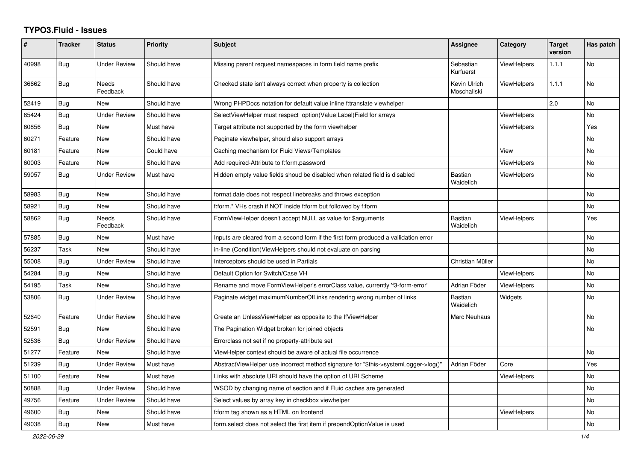## **TYPO3.Fluid - Issues**

| $\pmb{\#}$ | <b>Tracker</b> | <b>Status</b>            | <b>Priority</b> | Subject                                                                              | Assignee                    | Category           | <b>Target</b><br>version | Has patch |
|------------|----------------|--------------------------|-----------------|--------------------------------------------------------------------------------------|-----------------------------|--------------------|--------------------------|-----------|
| 40998      | <b>Bug</b>     | <b>Under Review</b>      | Should have     | Missing parent request namespaces in form field name prefix                          | Sebastian<br>Kurfuerst      | <b>ViewHelpers</b> | 1.1.1                    | <b>No</b> |
| 36662      | Bug            | <b>Needs</b><br>Feedback | Should have     | Checked state isn't always correct when property is collection                       | Kevin Ulrich<br>Moschallski | ViewHelpers        | 1.1.1                    | <b>No</b> |
| 52419      | Bug            | <b>New</b>               | Should have     | Wrong PHPDocs notation for default value inline f:translate viewhelper               |                             |                    | 2.0                      | <b>No</b> |
| 65424      | Bug            | <b>Under Review</b>      | Should have     | SelectViewHelper must respect option(Value Label)Field for arrays                    |                             | ViewHelpers        |                          | No        |
| 60856      | <b>Bug</b>     | New                      | Must have       | Target attribute not supported by the form viewhelper                                |                             | ViewHelpers        |                          | Yes       |
| 60271      | Feature        | New                      | Should have     | Paginate viewhelper, should also support arrays                                      |                             |                    |                          | No        |
| 60181      | Feature        | New                      | Could have      | Caching mechanism for Fluid Views/Templates                                          |                             | View               |                          | No        |
| 60003      | Feature        | <b>New</b>               | Should have     | Add required-Attribute to f:form.password                                            |                             | <b>ViewHelpers</b> |                          | <b>No</b> |
| 59057      | Bug            | <b>Under Review</b>      | Must have       | Hidden empty value fields shoud be disabled when related field is disabled           | <b>Bastian</b><br>Waidelich | <b>ViewHelpers</b> |                          | No        |
| 58983      | Bug            | <b>New</b>               | Should have     | format.date does not respect linebreaks and throws exception                         |                             |                    |                          | <b>No</b> |
| 58921      | Bug            | New                      | Should have     | f:form.* VHs crash if NOT inside f:form but followed by f:form                       |                             |                    |                          | <b>No</b> |
| 58862      | Bug            | <b>Needs</b><br>Feedback | Should have     | FormViewHelper doesn't accept NULL as value for \$arguments                          | Bastian<br>Waidelich        | ViewHelpers        |                          | Yes       |
| 57885      | <b>Bug</b>     | New                      | Must have       | Inputs are cleared from a second form if the first form produced a vallidation error |                             |                    |                          | No        |
| 56237      | Task           | New                      | Should have     | in-line (Condition) View Helpers should not evaluate on parsing                      |                             |                    |                          | No        |
| 55008      | Bug            | <b>Under Review</b>      | Should have     | Interceptors should be used in Partials                                              | Christian Müller            |                    |                          | No        |
| 54284      | Bug            | <b>New</b>               | Should have     | Default Option for Switch/Case VH                                                    |                             | <b>ViewHelpers</b> |                          | <b>No</b> |
| 54195      | Task           | <b>New</b>               | Should have     | Rename and move FormViewHelper's errorClass value, currently 'f3-form-error'         | Adrian Föder                | ViewHelpers        |                          | No        |
| 53806      | Bug            | <b>Under Review</b>      | Should have     | Paginate widget maximumNumberOfLinks rendering wrong number of links                 | Bastian<br>Waidelich        | Widgets            |                          | No        |
| 52640      | Feature        | <b>Under Review</b>      | Should have     | Create an UnlessViewHelper as opposite to the IfViewHelper                           | Marc Neuhaus                |                    |                          | <b>No</b> |
| 52591      | <b>Bug</b>     | <b>New</b>               | Should have     | The Pagination Widget broken for joined objects                                      |                             |                    |                          | <b>No</b> |
| 52536      | Bug            | <b>Under Review</b>      | Should have     | Errorclass not set if no property-attribute set                                      |                             |                    |                          |           |
| 51277      | Feature        | New                      | Should have     | ViewHelper context should be aware of actual file occurrence                         |                             |                    |                          | No        |
| 51239      | Bug            | <b>Under Review</b>      | Must have       | AbstractViewHelper use incorrect method signature for "\$this->systemLogger->log()"  | Adrian Föder                | Core               |                          | Yes       |
| 51100      | Feature        | <b>New</b>               | Must have       | Links with absolute URI should have the option of URI Scheme                         |                             | <b>ViewHelpers</b> |                          | <b>No</b> |
| 50888      | Bug            | <b>Under Review</b>      | Should have     | WSOD by changing name of section and if Fluid caches are generated                   |                             |                    |                          | <b>No</b> |
| 49756      | Feature        | <b>Under Review</b>      | Should have     | Select values by array key in checkbox viewhelper                                    |                             |                    |                          | <b>No</b> |
| 49600      | <b>Bug</b>     | New                      | Should have     | f:form tag shown as a HTML on frontend                                               |                             | ViewHelpers        |                          | No        |
| 49038      | Bug            | New                      | Must have       | form select does not select the first item if prependOptionValue is used             |                             |                    |                          | No        |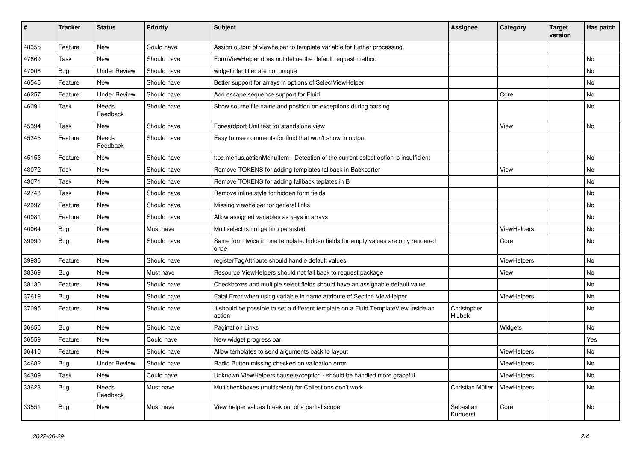| #     | <b>Tracker</b> | <b>Status</b>       | <b>Priority</b> | <b>Subject</b>                                                                                | Assignee               | Category           | <b>Target</b><br>version | Has patch |
|-------|----------------|---------------------|-----------------|-----------------------------------------------------------------------------------------------|------------------------|--------------------|--------------------------|-----------|
| 48355 | Feature        | <b>New</b>          | Could have      | Assign output of viewhelper to template variable for further processing.                      |                        |                    |                          |           |
| 47669 | Task           | New                 | Should have     | FormViewHelper does not define the default request method                                     |                        |                    |                          | <b>No</b> |
| 47006 | Bug            | <b>Under Review</b> | Should have     | widget identifier are not unique                                                              |                        |                    |                          | No        |
| 46545 | Feature        | <b>New</b>          | Should have     | Better support for arrays in options of SelectViewHelper                                      |                        |                    |                          | No        |
| 46257 | Feature        | <b>Under Review</b> | Should have     | Add escape sequence support for Fluid                                                         |                        | Core               |                          | <b>No</b> |
| 46091 | Task           | Needs<br>Feedback   | Should have     | Show source file name and position on exceptions during parsing                               |                        |                    |                          | <b>No</b> |
| 45394 | Task           | New                 | Should have     | Forwardport Unit test for standalone view                                                     |                        | View               |                          | No        |
| 45345 | Feature        | Needs<br>Feedback   | Should have     | Easy to use comments for fluid that won't show in output                                      |                        |                    |                          |           |
| 45153 | Feature        | New                 | Should have     | f:be.menus.actionMenuItem - Detection of the current select option is insufficient            |                        |                    |                          | <b>No</b> |
| 43072 | Task           | New                 | Should have     | Remove TOKENS for adding templates fallback in Backporter                                     |                        | View               |                          | <b>No</b> |
| 43071 | Task           | New                 | Should have     | Remove TOKENS for adding fallback teplates in B                                               |                        |                    |                          | <b>No</b> |
| 42743 | Task           | <b>New</b>          | Should have     | Remove inline style for hidden form fields                                                    |                        |                    |                          | <b>No</b> |
| 42397 | Feature        | New                 | Should have     | Missing viewhelper for general links                                                          |                        |                    |                          | <b>No</b> |
| 40081 | Feature        | New                 | Should have     | Allow assigned variables as keys in arrays                                                    |                        |                    |                          | <b>No</b> |
| 40064 | <b>Bug</b>     | New                 | Must have       | Multiselect is not getting persisted                                                          |                        | ViewHelpers        |                          | <b>No</b> |
| 39990 | Bug            | New                 | Should have     | Same form twice in one template: hidden fields for empty values are only rendered<br>once     |                        | Core               |                          | <b>No</b> |
| 39936 | Feature        | <b>New</b>          | Should have     | registerTagAttribute should handle default values                                             |                        | ViewHelpers        |                          | <b>No</b> |
| 38369 | Bug            | <b>New</b>          | Must have       | Resource ViewHelpers should not fall back to request package                                  |                        | View               |                          | No        |
| 38130 | Feature        | <b>New</b>          | Should have     | Checkboxes and multiple select fields should have an assignable default value                 |                        |                    |                          | <b>No</b> |
| 37619 | <b>Bug</b>     | <b>New</b>          | Should have     | Fatal Error when using variable in name attribute of Section ViewHelper                       |                        | <b>ViewHelpers</b> |                          | <b>No</b> |
| 37095 | Feature        | <b>New</b>          | Should have     | It should be possible to set a different template on a Fluid TemplateView inside an<br>action | Christopher<br>Hlubek  |                    |                          | <b>No</b> |
| 36655 | <b>Bug</b>     | New                 | Should have     | <b>Pagination Links</b>                                                                       |                        | Widgets            |                          | No        |
| 36559 | Feature        | New                 | Could have      | New widget progress bar                                                                       |                        |                    |                          | Yes       |
| 36410 | Feature        | <b>New</b>          | Should have     | Allow templates to send arguments back to layout                                              |                        | ViewHelpers        |                          | No        |
| 34682 | Bug            | <b>Under Review</b> | Should have     | Radio Button missing checked on validation error                                              |                        | ViewHelpers        |                          | No        |
| 34309 | Task           | New                 | Could have      | Unknown ViewHelpers cause exception - should be handled more graceful                         |                        | <b>ViewHelpers</b> |                          | <b>No</b> |
| 33628 | Bug            | Needs<br>Feedback   | Must have       | Multicheckboxes (multiselect) for Collections don't work                                      | Christian Müller       | <b>ViewHelpers</b> |                          | <b>No</b> |
| 33551 | Bug            | New                 | Must have       | View helper values break out of a partial scope                                               | Sebastian<br>Kurfuerst | Core               |                          | <b>No</b> |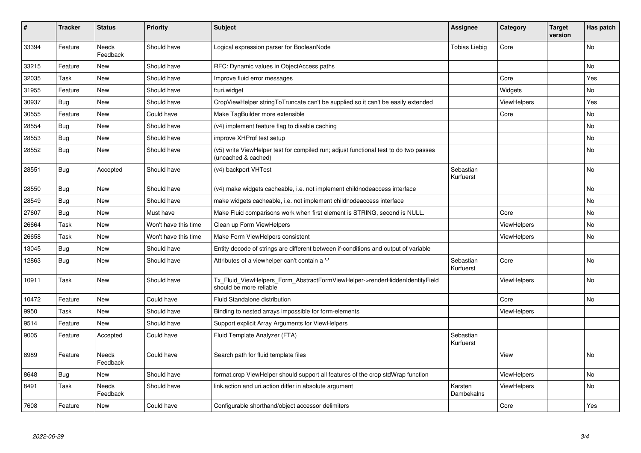| #     | <b>Tracker</b> | <b>Status</b>            | <b>Priority</b>      | <b>Subject</b>                                                                                              | Assignee               | Category           | <b>Target</b><br>version | Has patch |
|-------|----------------|--------------------------|----------------------|-------------------------------------------------------------------------------------------------------------|------------------------|--------------------|--------------------------|-----------|
| 33394 | Feature        | <b>Needs</b><br>Feedback | Should have          | Logical expression parser for BooleanNode                                                                   | <b>Tobias Liebig</b>   | Core               |                          | <b>No</b> |
| 33215 | Feature        | New                      | Should have          | RFC: Dynamic values in ObjectAccess paths                                                                   |                        |                    |                          | <b>No</b> |
| 32035 | Task           | New                      | Should have          | Improve fluid error messages                                                                                |                        | Core               |                          | Yes       |
| 31955 | Feature        | New                      | Should have          | f:uri.widget                                                                                                |                        | Widgets            |                          | No        |
| 30937 | <b>Bug</b>     | New                      | Should have          | CropViewHelper stringToTruncate can't be supplied so it can't be easily extended                            |                        | <b>ViewHelpers</b> |                          | Yes       |
| 30555 | Feature        | <b>New</b>               | Could have           | Make TagBuilder more extensible                                                                             |                        | Core               |                          | <b>No</b> |
| 28554 | Bug            | New                      | Should have          | (v4) implement feature flag to disable caching                                                              |                        |                    |                          | <b>No</b> |
| 28553 | Bug            | New                      | Should have          | improve XHProf test setup                                                                                   |                        |                    |                          | <b>No</b> |
| 28552 | Bug            | New                      | Should have          | (v5) write ViewHelper test for compiled run; adjust functional test to do two passes<br>(uncached & cached) |                        |                    |                          | <b>No</b> |
| 28551 | Bug            | Accepted                 | Should have          | (v4) backport VHTest                                                                                        | Sebastian<br>Kurfuerst |                    |                          | <b>No</b> |
| 28550 | <b>Bug</b>     | New                      | Should have          | (v4) make widgets cacheable, i.e. not implement childnodeaccess interface                                   |                        |                    |                          | <b>No</b> |
| 28549 | Bug            | New                      | Should have          | make widgets cacheable, i.e. not implement childnodeaccess interface                                        |                        |                    |                          | <b>No</b> |
| 27607 | <b>Bug</b>     | New                      | Must have            | Make Fluid comparisons work when first element is STRING, second is NULL.                                   |                        | Core               |                          | <b>No</b> |
| 26664 | Task           | New                      | Won't have this time | Clean up Form ViewHelpers                                                                                   |                        | ViewHelpers        |                          | No        |
| 26658 | Task           | New                      | Won't have this time | Make Form ViewHelpers consistent                                                                            |                        | ViewHelpers        |                          | No        |
| 13045 | Bug            | New                      | Should have          | Entity decode of strings are different between if-conditions and output of variable                         |                        |                    |                          |           |
| 12863 | <b>Bug</b>     | New                      | Should have          | Attributes of a viewhelper can't contain a '-'                                                              | Sebastian<br>Kurfuerst | Core               |                          | No        |
| 10911 | Task           | New                      | Should have          | Tx_Fluid_ViewHelpers_Form_AbstractFormViewHelper->renderHiddenIdentityField<br>should be more reliable      |                        | ViewHelpers        |                          | <b>No</b> |
| 10472 | Feature        | New                      | Could have           | Fluid Standalone distribution                                                                               |                        | Core               |                          | No        |
| 9950  | Task           | <b>New</b>               | Should have          | Binding to nested arrays impossible for form-elements                                                       |                        | ViewHelpers        |                          |           |
| 9514  | Feature        | <b>New</b>               | Should have          | Support explicit Array Arguments for ViewHelpers                                                            |                        |                    |                          |           |
| 9005  | Feature        | Accepted                 | Could have           | Fluid Template Analyzer (FTA)                                                                               | Sebastian<br>Kurfuerst |                    |                          |           |
| 8989  | Feature        | Needs<br>Feedback        | Could have           | Search path for fluid template files                                                                        |                        | View               |                          | <b>No</b> |
| 8648  | <b>Bug</b>     | New                      | Should have          | format.crop ViewHelper should support all features of the crop stdWrap function                             |                        | ViewHelpers        |                          | No        |
| 8491  | Task           | Needs<br>Feedback        | Should have          | link.action and uri.action differ in absolute argument                                                      | Karsten<br>Dambekalns  | <b>ViewHelpers</b> |                          | <b>No</b> |
| 7608  | Feature        | <b>New</b>               | Could have           | Configurable shorthand/object accessor delimiters                                                           |                        | Core               |                          | Yes       |